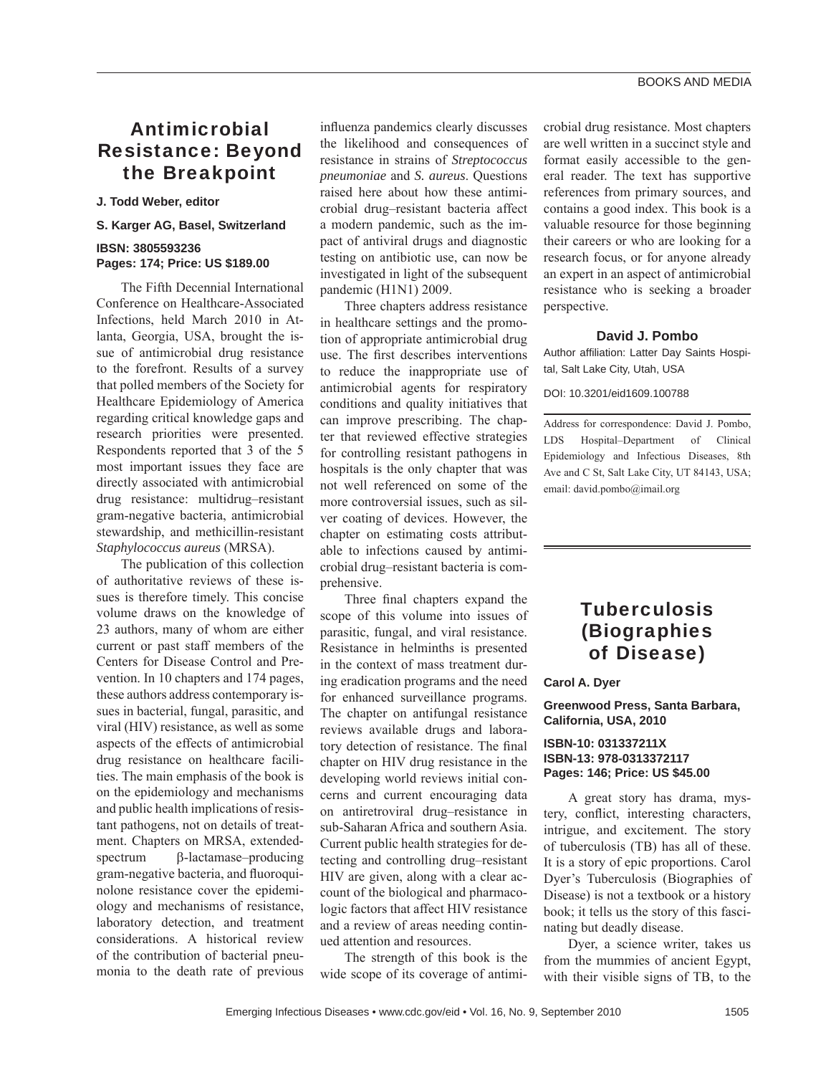## Antimicrobial Resistance: Beyond the Breakpoint

## **J. Todd Weber, editor**

### **S. Karger AG, Basel, Switzerland**

## **IBSN: 3805593236 Pages: 174; Price: US \$189.00**

The Fifth Decennial International Conference on Healthcare-Associated Infections, held March 2010 in Atlanta, Georgia, USA, brought the issue of antimicrobial drug resistance to the forefront. Results of a survey that polled members of the Society for Healthcare Epidemiology of America regarding critical knowledge gaps and research priorities were presented. Respondents reported that 3 of the 5 most important issues they face are directly associated with antimicrobial drug resistance: multidrug–resistant gram-negative bacteria, antimicrobial stewardship, and methicillin-resistant *Staphylococcus aureus* (MRSA).

The publication of this collection of authoritative reviews of these issues is therefore timely. This concise volume draws on the knowledge of 23 authors, many of whom are either current or past staff members of the Centers for Disease Control and Prevention. In 10 chapters and 174 pages, these authors address contemporary issues in bacterial, fungal, parasitic, and viral (HIV) resistance, as well as some aspects of the effects of antimicrobial drug resistance on healthcare facilities. The main emphasis of the book is on the epidemiology and mechanisms and public health implications of resistant pathogens, not on details of treatment. Chapters on MRSA, extendedspectrum β-lactamase–producing gram-negative bacteria, and fluoroquinolone resistance cover the epidemiology and mechanisms of resistance, laboratory detection, and treatment considerations. A historical review of the contribution of bacterial pneumonia to the death rate of previous

influenza pandemics clearly discusses the likelihood and consequences of resistance in strains of *Streptococcus pneumoniae* and *S. aureus*. Questions raised here about how these antimicrobial drug–resistant bacteria affect a modern pandemic, such as the impact of antiviral drugs and diagnostic testing on antibiotic use, can now be investigated in light of the subsequent pandemic (H1N1) 2009.

Three chapters address resistance in healthcare settings and the promotion of appropriate antimicrobial drug use. The first describes interventions to reduce the inappropriate use of antimicrobial agents for respiratory conditions and quality initiatives that can improve prescribing. The chapter that reviewed effective strategies for controlling resistant pathogens in hospitals is the only chapter that was not well referenced on some of the more controversial issues, such as silver coating of devices. However, the chapter on estimating costs attributable to infections caused by antimicrobial drug–resistant bacteria is comprehensive.

Three final chapters expand the scope of this volume into issues of parasitic, fungal, and viral resistance. Resistance in helminths is presented in the context of mass treatment during eradication programs and the need for enhanced surveillance programs. The chapter on antifungal resistance reviews available drugs and laboratory detection of resistance. The final chapter on HIV drug resistance in the developing world reviews initial concerns and current encouraging data on antiretroviral drug–resistance in sub-Saharan Africa and southern Asia. Current public health strategies for detecting and controlling drug–resistant HIV are given, along with a clear account of the biological and pharmacologic factors that affect HIV resistance and a review of areas needing continued attention and resources.

The strength of this book is the wide scope of its coverage of antimicrobial drug resistance. Most chapters are well written in a succinct style and format easily accessible to the general reader. The text has supportive references from primary sources, and contains a good index. This book is a valuable resource for those beginning their careers or who are looking for a research focus, or for anyone already an expert in an aspect of antimicrobial resistance who is seeking a broader perspective.

#### **David J. Pombo**

Author affiliation: Latter Day Saints Hospital, Salt Lake City, Utah, USA

DOI: 10.3201/eid1609.100788

Address for correspondence: David J. Pombo, LDS Hospital–Department of Clinical Epidemiology and Infectious Diseases, 8th Ave and C St, Salt Lake City, UT 84143, USA; email: david.pombo@imail.org



## **Tuberculosis** (Biographies of Disease)

### **Carol A. Dyer**

**Greenwood Press, Santa Barbara, California, USA, 2010**

### **ISBN-10: 031337211X ISBN-13: 978-0313372117 Pages: 146; Price: US \$45.00**

A great story has drama, mystery, conflict, interesting characters, intrigue, and excitement. The story of tuberculosis (TB) has all of these. It is a story of epic proportions. Carol Dyer's Tuberculosis (Biographies of Disease) is not a textbook or a history book; it tells us the story of this fascinating but deadly disease.

Dyer, a science writer, takes us from the mummies of ancient Egypt, with their visible signs of TB, to the